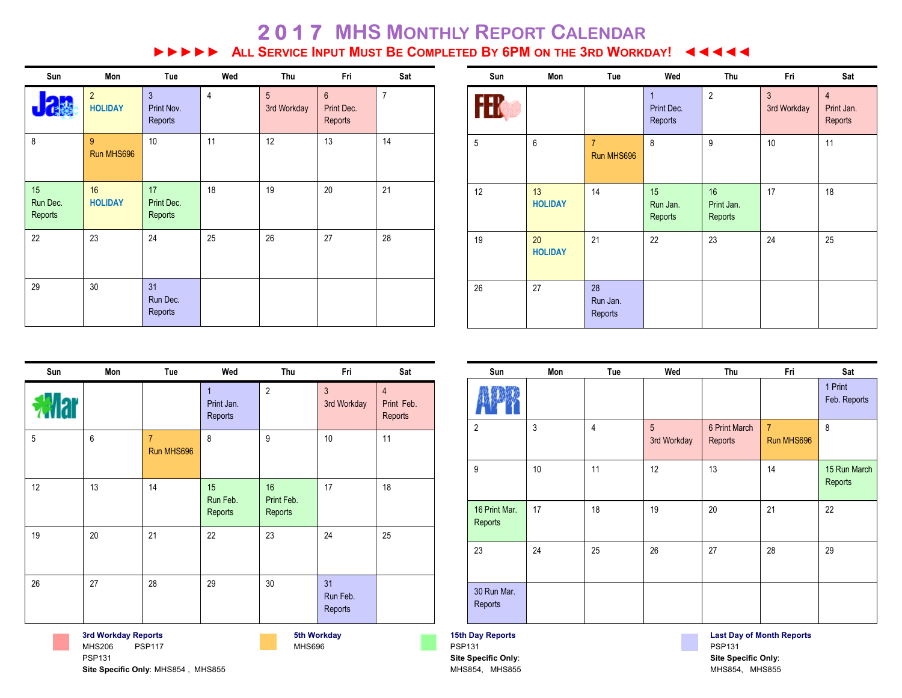## **2 0 1 7 MHS MONTHLY REPORT CALENDAR EXECUTE INFURNATE COMPLETED BY 6PM ON THE 3RD WORKDAY!** 44444

| Sun                       | Mon                              | Tue                                     | Wed            | Thu              | Fri                                     | Sat            |
|---------------------------|----------------------------------|-----------------------------------------|----------------|------------------|-----------------------------------------|----------------|
|                           | $\overline{2}$<br><b>HOLIDAY</b> | $\overline{3}$<br>Print Nov.<br>Reports | $\overline{4}$ | 5<br>3rd Workday | $6\phantom{1}$<br>Print Dec.<br>Reports | $\overline{7}$ |
| 8                         | 9<br>Run MHS696                  | 10                                      | 11             | 12               | 13                                      | 14             |
| 15<br>Run Dec.<br>Reports | 16<br><b>HOLIDAY</b>             | 17<br>Print Dec.<br>Reports             | 18             | 19               | 20                                      | 21             |
| 22                        | 23                               | 24                                      | 25             | 26               | 27                                      | 28             |
| 29                        | 30                               | 31<br>Run Dec.<br>Reports               |                |                  |                                         |                |

| Sun       | Mon                  | Tue                          | Wed                                   | Thu                         | Fri                           | Sat                                     |
|-----------|----------------------|------------------------------|---------------------------------------|-----------------------------|-------------------------------|-----------------------------------------|
| <b>Th</b> |                      |                              | $\mathbf{1}$<br>Print Dec.<br>Reports | $\overline{2}$              | $\mathfrak{Z}$<br>3rd Workday | $\overline{4}$<br>Print Jan.<br>Reports |
| 5         | 6                    | $\overline{7}$<br>Run MHS696 | 8                                     | 9                           | 10                            | 11                                      |
| 12        | 13<br><b>HOLIDAY</b> | 14                           | 15<br>Run Jan.<br>Reports             | 16<br>Print Jan.<br>Reports | 17                            | 18                                      |
| 19        | 20<br><b>HOLIDAY</b> | 21                           | 22                                    | 23                          | 24                            | 25                                      |
| 26        | 27                   | 28<br>Run Jan.<br>Reports    |                                       |                             |                               |                                         |

| Sun | Mon | Tue                          | Wed                                   | Thu                         | Fri                           | Sat                                     |
|-----|-----|------------------------------|---------------------------------------|-----------------------------|-------------------------------|-----------------------------------------|
|     |     |                              | $\mathbf{1}$<br>Print Jan.<br>Reports | $\overline{2}$              | $\overline{3}$<br>3rd Workday | $\overline{4}$<br>Print Feb.<br>Reports |
| 5   | 6   | $\overline{7}$<br>Run MHS696 | 8                                     | 9                           | 10                            | 11                                      |
| 12  | 13  | 14                           | 15<br>Run Feb.<br>Reports             | 16<br>Print Feb.<br>Reports | 17                            | 18                                      |
| 19  | 20  | 21                           | 22                                    | 23                          | 24                            | 25                                      |
| 26  | 27  | 28                           | 29                                    | 30                          | 31<br>Run Feb.<br>Reports     |                                         |

**5th Workday** MHS696

|                          |    |                |                  |                          |                              | T Print<br>Feb. Reports |
|--------------------------|----|----------------|------------------|--------------------------|------------------------------|-------------------------|
| 2                        | 3  | $\overline{4}$ | 5<br>3rd Workday | 6 Print March<br>Reports | $\overline{7}$<br>Run MHS696 | 8                       |
| 9                        | 10 | 11             | 12               | 13                       | 14                           | 15 Run March<br>Reports |
| 16 Print Mar.<br>Reports | 17 | 18             | 19               | 20                       | 21                           | 22                      |
| 23                       | 24 | 25             | 26               | 27                       | 28                           | 29                      |
| 30 Run Mar.<br>Reports   |    |                |                  |                          |                              |                         |
|                          |    |                |                  |                          |                              |                         |

**Sun Mon Tue Wed Thu Fri Sat**

**15th Day Reports** PSP131 **Site Specific Only**: MHS854, MHS855

**Contract Contract** 

**Last Day of Month Reports**  PSP131 **Site Specific Only**: MHS854, MHS855

 $\mathbf{I}$ 

 $1$  Print

**Site Specific Only**: MHS854 , MHS855

**3rd Workday Reports**  MHS206 PSP117

PSP131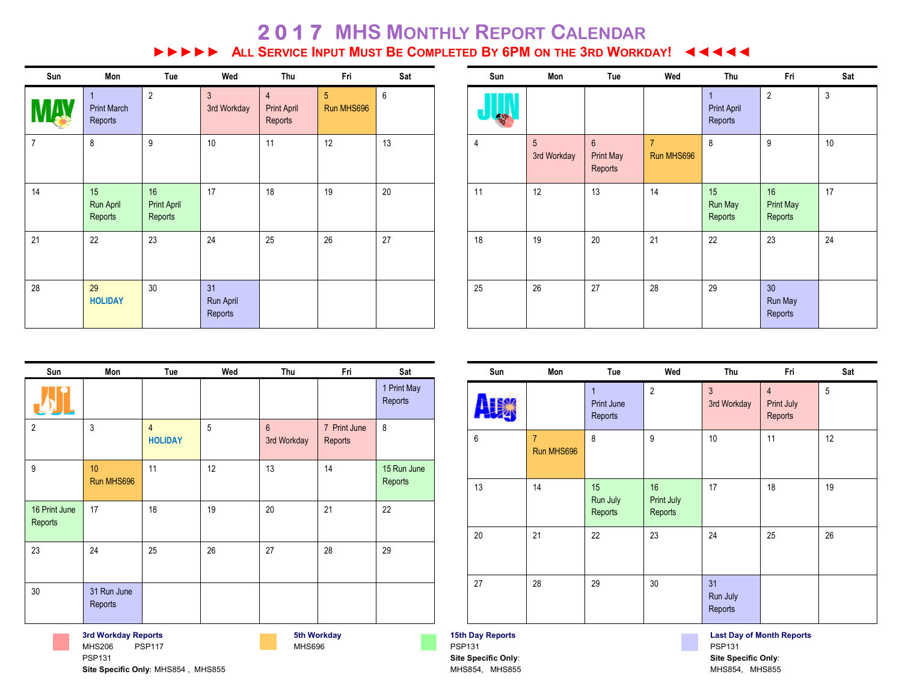## **2 0 1 7 MHS MONTHLY REPORT CALENDAR EXECUTE INFURNATION BE COMPLETED BY 6PM ON THE 3RD WORKDAY!** 44444

| Sun            | Mon                                | Tue                                 | Wed                           | Thu                                             | Fri                          | Sat |
|----------------|------------------------------------|-------------------------------------|-------------------------------|-------------------------------------------------|------------------------------|-----|
|                | 1<br><b>Print March</b><br>Reports | $\overline{2}$                      | $\mathfrak{Z}$<br>3rd Workday | $\overline{4}$<br><b>Print April</b><br>Reports | $\overline{5}$<br>Run MHS696 | 6   |
| $\overline{7}$ | 8                                  | 9                                   | 10                            | 11                                              | 12                           | 13  |
| 14             | 15<br>Run April<br>Reports         | 16<br><b>Print April</b><br>Reports | 17                            | 18                                              | 19                           | 20  |
| 21             | 22                                 | 23                                  | 24                            | 25                                              | 26                           | 27  |
| 28             | 29<br><b>HOLIDAY</b>               | 30                                  | 31<br>Run April<br>Reports    |                                                 |                              |     |

| Sun | Mon              | Tue                                           | Wed                          | Thu                                           | Fri                               | Sat         |
|-----|------------------|-----------------------------------------------|------------------------------|-----------------------------------------------|-----------------------------------|-------------|
|     |                  |                                               |                              | $\mathbf{1}$<br><b>Print April</b><br>Reports | $\overline{2}$                    | $\mathsf 3$ |
| 4   | 5<br>3rd Workday | $6\phantom{a}$<br><b>Print May</b><br>Reports | $\overline{7}$<br>Run MHS696 | 8                                             | 9                                 | 10          |
| 11  | 12               | 13                                            | 14                           | 15<br>Run May<br>Reports                      | 16<br><b>Print May</b><br>Reports | 17          |
| 18  | 19               | 20                                            | 21                           | 22                                            | 23                                | 24          |
| 25  | 26               | 27                                            | 28                           | 29                                            | 30<br>Run May<br>Reports          |             |

| Sun                      | Mon                    | Tue                              | Wed | Thu                           | Fri                     | Sat                    |
|--------------------------|------------------------|----------------------------------|-----|-------------------------------|-------------------------|------------------------|
|                          |                        |                                  |     |                               |                         | 1 Print May<br>Reports |
| $\overline{2}$           | $\mathfrak{Z}$         | $\overline{4}$<br><b>HOLIDAY</b> | 5   | $6\phantom{1}$<br>3rd Workday | 7 Print June<br>Reports | 8                      |
| 9                        | 10<br>Run MHS696       | 11                               | 12  | 13                            | 14                      | 15 Run June<br>Reports |
| 16 Print June<br>Reports | 17                     | 18                               | 19  | 20                            | 21                      | 22                     |
| 23                       | 24                     | 25                               | 26  | 27                            | 28                      | 29                     |
| 30                       | 31 Run June<br>Reports |                                  |     |                               |                         |                        |

**5th Workday** MHS696

| Sun | Mon                          | Tue                               | Wed                         | Thu                         | Fri                                     | Sat |
|-----|------------------------------|-----------------------------------|-----------------------------|-----------------------------|-----------------------------------------|-----|
|     |                              | 1<br><b>Print June</b><br>Reports | $\overline{2}$              | $\mathbf{3}$<br>3rd Workday | $\overline{4}$<br>Print July<br>Reports | 5   |
| 6   | $\overline{7}$<br>Run MHS696 | 8                                 | 9                           | 10                          | 11                                      | 12  |
| 13  | 14                           | 15<br>Run July<br>Reports         | 16<br>Print July<br>Reports | 17                          | 18                                      | 19  |
| 20  | 21                           | 22                                | 23                          | 24                          | 25                                      | 26  |
| 27  | 28                           | 29                                | $30\,$                      | 31<br>Run July<br>Reports   |                                         |     |

**15th Day Reports** PSP131 **Site Specific Only**: MHS854, MHS855 **Last Day of Month Reports**  PSP131 **Site Specific Only**: MHS854, MHS855

**Site Specific Only**: MHS854 , MHS855

**3rd Workday Reports**  MHS206 PSP117

PSP131